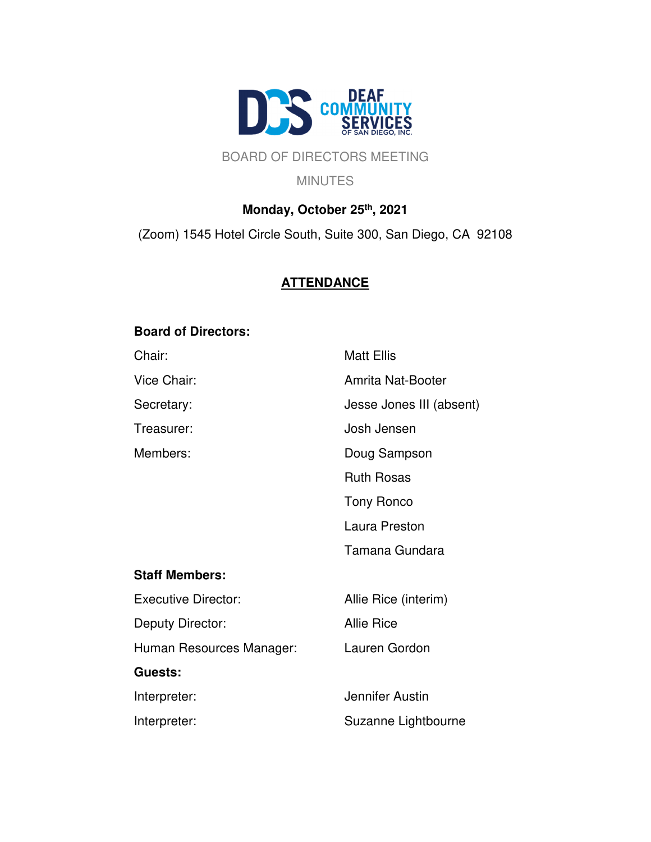

## BOARD OF DIRECTORS MEETING

**MINUTES** 

# **Monday, October 25th, 2021** (Zoom) 1545 Hotel Circle South, Suite 300, San Diego, CA 92108

## **ATTENDANCE**

## **Board of Directors:**

| Chair:                     | <b>Matt Ellis</b>        |
|----------------------------|--------------------------|
| Vice Chair:                | Amrita Nat-Booter        |
| Secretary:                 | Jesse Jones III (absent) |
| Treasurer:                 | Josh Jensen              |
| Members:                   | Doug Sampson             |
|                            | <b>Ruth Rosas</b>        |
|                            | <b>Tony Ronco</b>        |
|                            | Laura Preston            |
|                            | Tamana Gundara           |
| <b>Staff Members:</b>      |                          |
| <b>Executive Director:</b> | Allie Rice (interim)     |
| Deputy Director:           | <b>Allie Rice</b>        |
| Human Resources Manager:   | Lauren Gordon            |
| Guests:                    |                          |
| Interpreter:               | Jennifer Austin          |
| Interpreter:               | Suzanne Lightbourne      |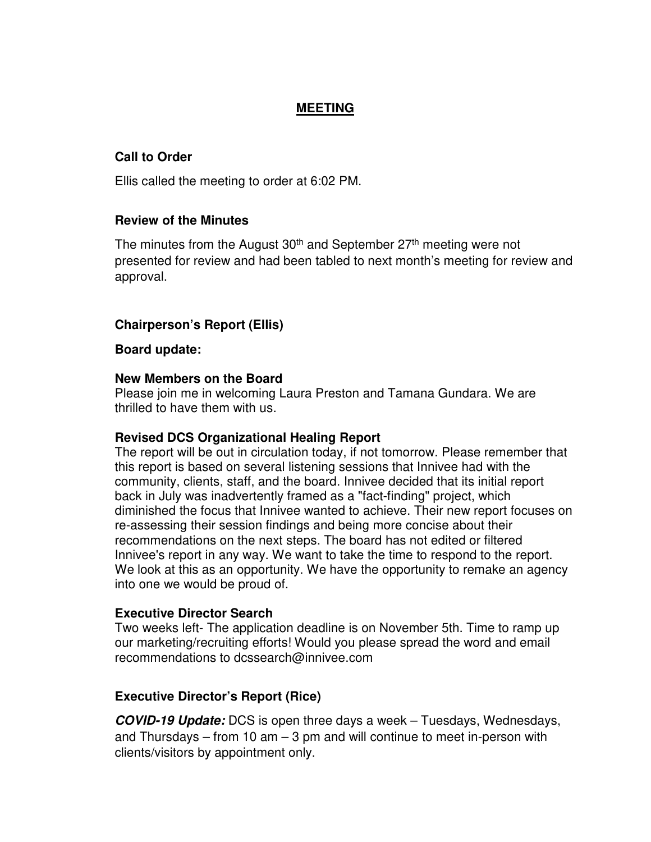## **MEETING**

## **Call to Order**

Ellis called the meeting to order at 6:02 PM.

## **Review of the Minutes**

The minutes from the August  $30<sup>th</sup>$  and September  $27<sup>th</sup>$  meeting were not presented for review and had been tabled to next month's meeting for review and approval.

## **Chairperson's Report (Ellis)**

#### **Board update:**

#### **New Members on the Board**

Please join me in welcoming Laura Preston and Tamana Gundara. We are thrilled to have them with us.

## **Revised DCS Organizational Healing Report**

The report will be out in circulation today, if not tomorrow. Please remember that this report is based on several listening sessions that Innivee had with the community, clients, staff, and the board. Innivee decided that its initial report back in July was inadvertently framed as a "fact-finding" project, which diminished the focus that Innivee wanted to achieve. Their new report focuses on re-assessing their session findings and being more concise about their recommendations on the next steps. The board has not edited or filtered Innivee's report in any way. We want to take the time to respond to the report. We look at this as an opportunity. We have the opportunity to remake an agency into one we would be proud of.

## **Executive Director Search**

Two weeks left- The application deadline is on November 5th. Time to ramp up our marketing/recruiting efforts! Would you please spread the word and email recommendations to dcssearch@innivee.com

## **Executive Director's Report (Rice)**

**COVID-19 Update:** DCS is open three days a week – Tuesdays, Wednesdays, and Thursdays – from 10 am  $-$  3 pm and will continue to meet in-person with clients/visitors by appointment only.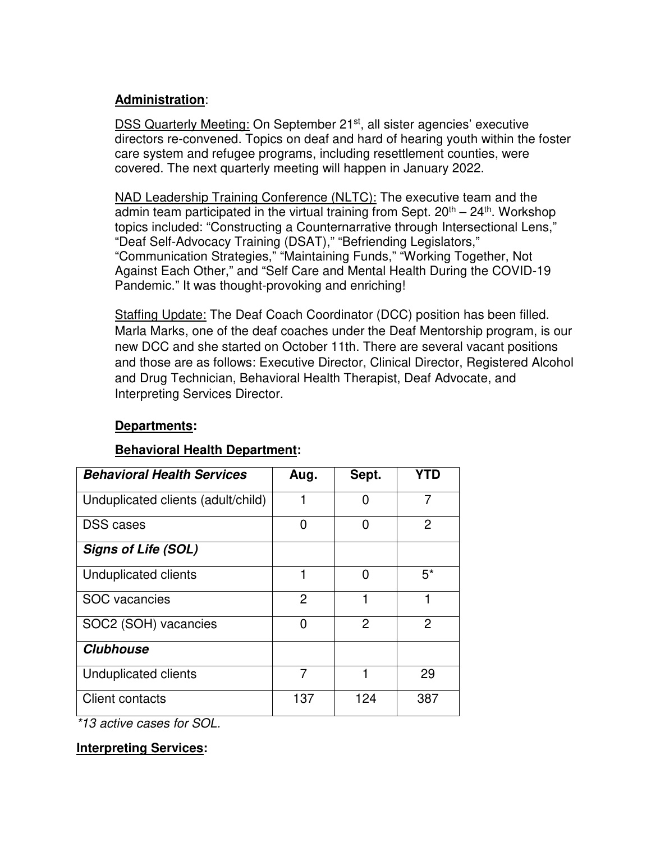## **Administration**:

DSS Quarterly Meeting: On September 21<sup>st</sup>, all sister agencies' executive directors re-convened. Topics on deaf and hard of hearing youth within the foster care system and refugee programs, including resettlement counties, were covered. The next quarterly meeting will happen in January 2022.

NAD Leadership Training Conference (NLTC): The executive team and the admin team participated in the virtual training from Sept.  $20<sup>th</sup> - 24<sup>th</sup>$ . Workshop topics included: "Constructing a Counternarrative through Intersectional Lens," "Deaf Self-Advocacy Training (DSAT)," "Befriending Legislators," "Communication Strategies," "Maintaining Funds," "Working Together, Not Against Each Other," and "Self Care and Mental Health During the COVID-19 Pandemic." It was thought-provoking and enriching!

Staffing Update: The Deaf Coach Coordinator (DCC) position has been filled. Marla Marks, one of the deaf coaches under the Deaf Mentorship program, is our new DCC and she started on October 11th. There are several vacant positions and those are as follows: Executive Director, Clinical Director, Registered Alcohol and Drug Technician, Behavioral Health Therapist, Deaf Advocate, and Interpreting Services Director.

## **Departments:**

## **Behavioral Health Department:**

| <b>Behavioral Health Services</b>  | Aug. | Sept.          | YTD            |
|------------------------------------|------|----------------|----------------|
| Unduplicated clients (adult/child) | 1    | O              | 7              |
| <b>DSS</b> cases                   | 0    | 0              | 2              |
| <b>Signs of Life (SOL)</b>         |      |                |                |
| <b>Unduplicated clients</b>        | 1    | 0              | $5^*$          |
| <b>SOC</b> vacancies               | 2    |                |                |
| SOC2 (SOH) vacancies               | 0    | $\overline{2}$ | $\overline{2}$ |
| <b>Clubhouse</b>                   |      |                |                |
| Unduplicated clients               | 7    |                | 29             |
| <b>Client contacts</b>             | 137  | 124            | 387            |

\*13 active cases for SOL.

## **Interpreting Services:**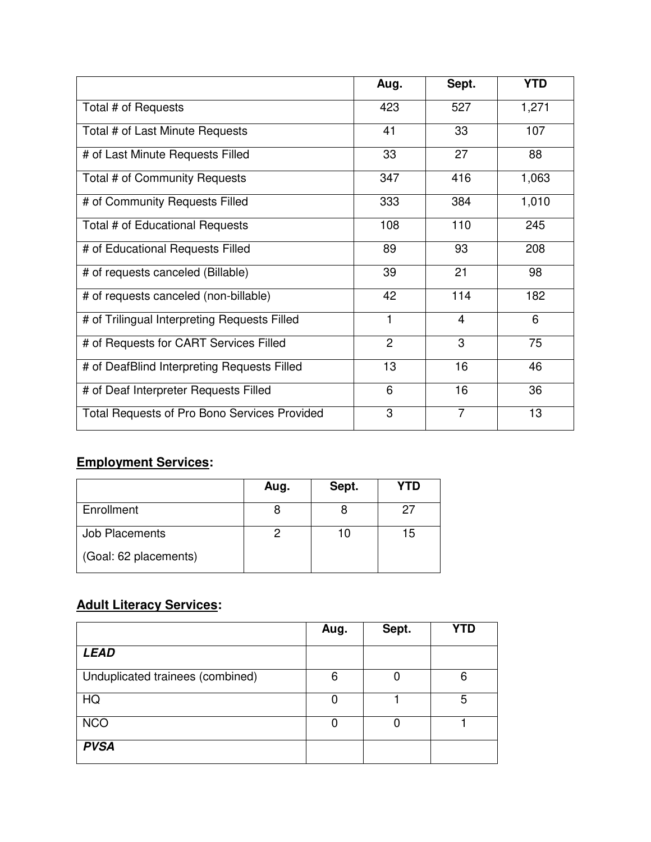|                                                     | Aug.           | Sept.          | <b>YTD</b> |
|-----------------------------------------------------|----------------|----------------|------------|
| Total # of Requests                                 | 423            | 527            | 1,271      |
| Total # of Last Minute Requests                     | 41             | 33             | 107        |
| # of Last Minute Requests Filled                    | 33             | 27             | 88         |
| Total # of Community Requests                       | 347            | 416            | 1,063      |
| # of Community Requests Filled                      | 333            | 384            | 1,010      |
| Total # of Educational Requests                     | 108            | 110            | 245        |
| # of Educational Requests Filled                    | 89             | 93             | 208        |
| # of requests canceled (Billable)                   | 39             | 21             | 98         |
| # of requests canceled (non-billable)               | 42             | 114            | 182        |
| # of Trilingual Interpreting Requests Filled        | 1              | 4              | 6          |
| # of Requests for CART Services Filled              | $\overline{2}$ | 3              | 75         |
| # of DeafBlind Interpreting Requests Filled         | 13             | 16             | 46         |
| # of Deaf Interpreter Requests Filled               | 6              | 16             | 36         |
| <b>Total Requests of Pro Bono Services Provided</b> | 3              | $\overline{7}$ | 13         |

## **Employment Services:**

|                       | Aug. | Sept. | YTD |
|-----------------------|------|-------|-----|
| Enrollment            |      |       | 27  |
| Job Placements        |      |       | 15  |
| (Goal: 62 placements) |      |       |     |

# **Adult Literacy Services:**

|                                  | Aug. | Sept. | <b>YTD</b> |
|----------------------------------|------|-------|------------|
| <b>LEAD</b>                      |      |       |            |
| Unduplicated trainees (combined) | 6    |       | 6          |
| HQ                               |      |       | 5          |
| <b>NCO</b>                       |      |       |            |
| <b>PVSA</b>                      |      |       |            |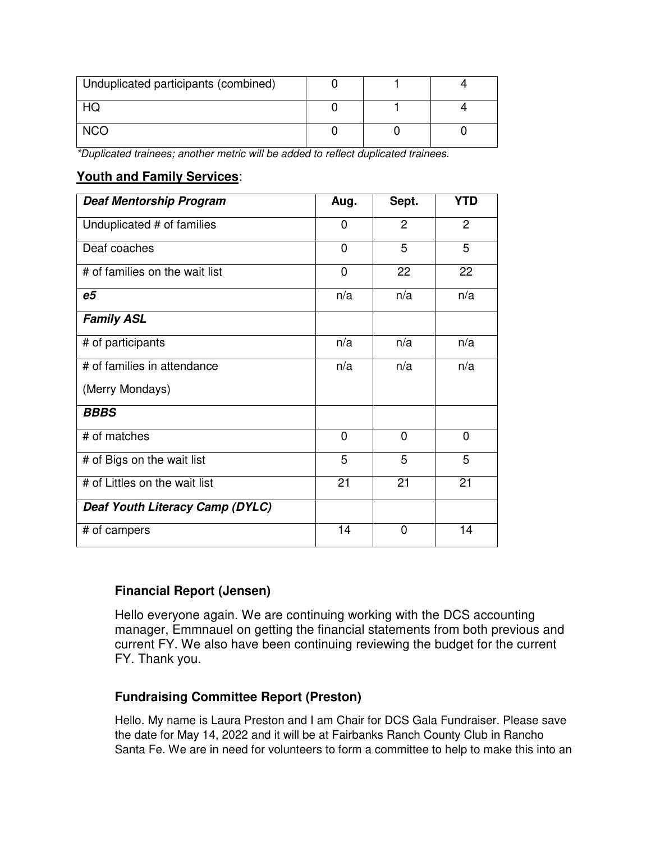| Unduplicated participants (combined) |  |  |
|--------------------------------------|--|--|
|                                      |  |  |
|                                      |  |  |

\*Duplicated trainees; another metric will be added to reflect duplicated trainees.

## **Youth and Family Services**:

| <b>Deaf Mentorship Program</b>  | Aug.           | Sept.          | <b>YTD</b>     |
|---------------------------------|----------------|----------------|----------------|
| Unduplicated # of families      | $\overline{0}$ | $\overline{2}$ | $\overline{2}$ |
| Deaf coaches                    | $\mathbf 0$    | 5              | 5              |
| # of families on the wait list  | $\overline{0}$ | 22             | 22             |
| e5                              | n/a            | n/a            | n/a            |
| <b>Family ASL</b>               |                |                |                |
| # of participants               | n/a            | n/a            | n/a            |
| # of families in attendance     | n/a            | n/a            | n/a            |
| (Merry Mondays)                 |                |                |                |
| <b>BBBS</b>                     |                |                |                |
| # of matches                    | $\mathbf 0$    | $\mathbf 0$    | $\mathbf 0$    |
| # of Bigs on the wait list      | 5              | 5              | 5              |
| # of Littles on the wait list   | 21             | 21             | 21             |
| Deaf Youth Literacy Camp (DYLC) |                |                |                |
| # of campers                    | 14             | 0              | 14             |

## **Financial Report (Jensen)**

Hello everyone again. We are continuing working with the DCS accounting manager, Emmnauel on getting the financial statements from both previous and current FY. We also have been continuing reviewing the budget for the current FY. Thank you.

## **Fundraising Committee Report (Preston)**

Hello. My name is Laura Preston and I am Chair for DCS Gala Fundraiser. Please save the date for May 14, 2022 and it will be at Fairbanks Ranch County Club in Rancho Santa Fe. We are in need for volunteers to form a committee to help to make this into an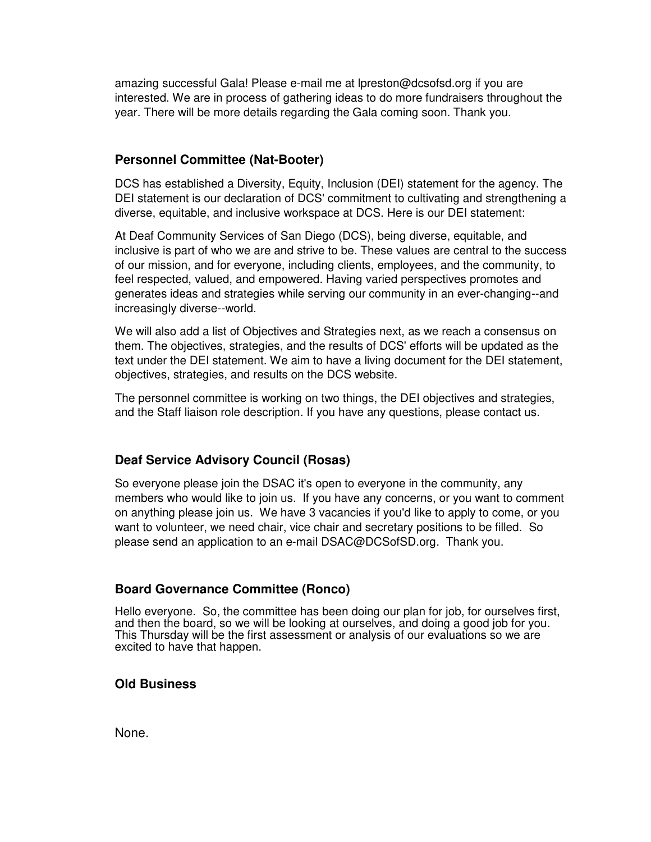amazing successful Gala! Please e-mail me at lpreston@dcsofsd.org if you are interested. We are in process of gathering ideas to do more fundraisers throughout the year. There will be more details regarding the Gala coming soon. Thank you.

## **Personnel Committee (Nat-Booter)**

DCS has established a Diversity, Equity, Inclusion (DEI) statement for the agency. The DEI statement is our declaration of DCS' commitment to cultivating and strengthening a diverse, equitable, and inclusive workspace at DCS. Here is our DEI statement:

At Deaf Community Services of San Diego (DCS), being diverse, equitable, and inclusive is part of who we are and strive to be. These values are central to the success of our mission, and for everyone, including clients, employees, and the community, to feel respected, valued, and empowered. Having varied perspectives promotes and generates ideas and strategies while serving our community in an ever-changing--and increasingly diverse--world.

We will also add a list of Objectives and Strategies next, as we reach a consensus on them. The objectives, strategies, and the results of DCS' efforts will be updated as the text under the DEI statement. We aim to have a living document for the DEI statement, objectives, strategies, and results on the DCS website.

The personnel committee is working on two things, the DEI objectives and strategies, and the Staff liaison role description. If you have any questions, please contact us.

## **Deaf Service Advisory Council (Rosas)**

So everyone please join the DSAC it's open to everyone in the community, any members who would like to join us. If you have any concerns, or you want to comment on anything please join us. We have 3 vacancies if you'd like to apply to come, or you want to volunteer, we need chair, vice chair and secretary positions to be filled. So please send an application to an e-mail DSAC@DCSofSD.org. Thank you.

## **Board Governance Committee (Ronco)**

Hello everyone. So, the committee has been doing our plan for job, for ourselves first, and then the board, so we will be looking at ourselves, and doing a good job for you. This Thursday will be the first assessment or analysis of our evaluations so we are excited to have that happen.

## **Old Business**

None.